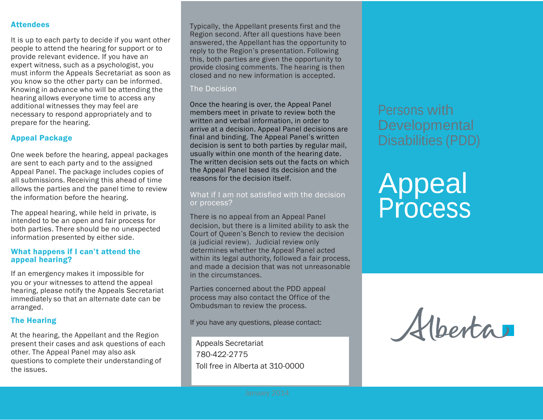#### **Attendees**

It is up to each party to decide if you want other people to attend the hearing for support or to provide relevant evidence. If you have an expert witness, such as a psychologist, you must inform the Appeals Secretariat as soon as you know so the other party can be informed. Knowing in advance who will be attending the hearing allows everyone time to access any additional witnesses they may feel are necessary to respond appropriately and to prepare for the hearing.

#### Appeal Package

One week before the hearing, appeal packages are sent to each party and to the assigned Appeal Panel. The package includes copies of all submissions. Receiving this ahead of time allows the parties and the panel time to review the information before the hearing.

The appeal hearing, while held in private, is intended to be an open and fair process for both parties. There should be no unexpected information presented by either side.

#### What happens if I can't attend the appeal hearing?

If an emergency makes it impossible for you or your witnesses to attend the appeal hearing, please notify the Appeals Secretariat immediately so that an alternate date can be arranged.

#### The Hearing

At the hearing, the Appellant and the Region present their cases and ask questions of each other. The Appeal Panel may also ask questions to complete their understanding of the issues.

Typically, the Appellant presents first and the Region second. After all questions have been answered, the Appellant has the opportunity to reply to the Region's presentation. Following this, both parties are given the opportunity to provide closing comments. The hearing is then closed and no new information is accepted.

#### The Decision

Once the hearing is over, the Appeal Panel members meet in private to review both the written and verbal information, in order to arrive at a decision. Appeal Panel decisions are final and binding. The Appeal Panel's written decision is sent to both parties by regular mail, usually within one month of the hearing date. The written decision sets out the facts on which the Appeal Panel based its decision and the reasons for the decision itself.

#### What if I am not satisfied with the decision or process?

There is no appeal from an Appeal Panel decision, but there is a limited ability to ask the Court of Queen's Bench to review the decision (a judicial review). Judicial review only determines whether the Appeal Panel acted within its legal authority, followed a fair process, and made a decision that was not unreasonable in the circumstances.

Parties concerned about the PDD appeal process may also contact the Office of the Ombudsman to review the process.

If you have any questions, please contact:

Appeals Secretariat 780-422-2775 Toll free in Alberta at 310-0000 Persons with **Developmental** Disabilities (PDD)

# Appeal Process

Alberta